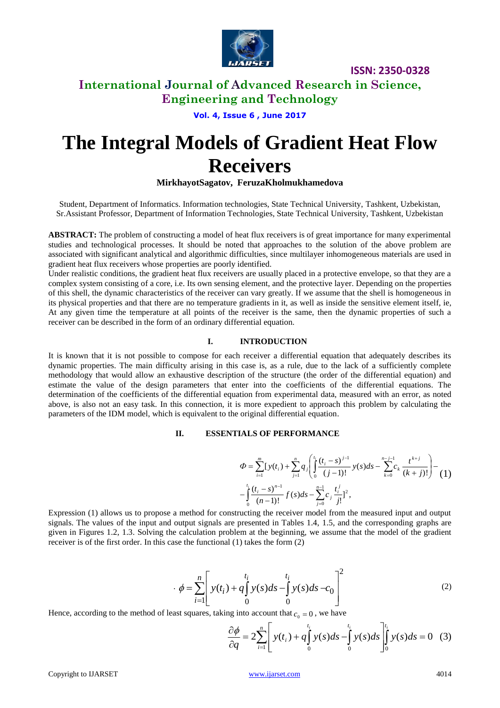

## **International Journal of Advanced Research in Science, Engineering and Technology**

**Vol. 4, Issue 6 , June 2017**

# **The Integral Models of Gradient Heat Flow Receivers**

**MirkhayotSagatov, FeruzaKholmukhamedova**

Student, Department of Informatics. Information technologies, State Technical University, Tashkent, Uzbekistan, Sr.Assistant Professor, Department of Information Technologies, State Technical University, Tashkent, Uzbekistan

**ABSTRACT:** The problem of constructing a model of heat flux receivers is of great importance for many experimental studies and technological processes. It should be noted that approaches to the solution of the above problem are associated with significant analytical and algorithmic difficulties, since multilayer inhomogeneous materials are used in gradient heat flux receivers whose properties are poorly identified.

Under realistic conditions, the gradient heat flux receivers are usually placed in a protective envelope, so that they are a complex system consisting of a core, i.e. Its own sensing element, and the protective layer. Depending on the properties of this shell, the dynamic characteristics of the receiver can vary greatly. If we assume that the shell is homogeneous in its physical properties and that there are no temperature gradients in it, as well as inside the sensitive element itself, ie, At any given time the temperature at all points of the receiver is the same, then the dynamic properties of such a receiver can be described in the form of an ordinary differential equation.

#### **I. INTRODUCTION**

It is known that it is not possible to compose for each receiver a differential equation that adequately describes its dynamic properties. The main difficulty arising in this case is, as a rule, due to the lack of a sufficiently complete methodology that would allow an exhaustive description of the structure (the order of the differential equation) and estimate the value of the design parameters that enter into the coefficients of the differential equations. The determination of the coefficients of the differential equation from experimental data, measured with an error, as noted above, is also not an easy task. In this connection, it is more expedient to approach this problem by calculating the parameters of the IDM model, which is equivalent to the original differential equation.

#### **II. ESSENTIALS OF PERFORMANCE**

$$
\Phi = \sum_{i=1}^{m} [y(t_i) + \sum_{j=1}^{n} q_j \left( \int_0^{t_i} \frac{(t_i - s)^{j-1}}{(j-1)!} y(s) ds - \sum_{k=0}^{n-j-1} c_k \frac{t^{k+j}}{(k+j)!} \right) - \frac{1}{0} \left( \frac{(t_i - s)^{n-1}}{(n-1)!} f(s) ds - \sum_{j=0}^{n-1} c_j \frac{t^j}{j!} \right)^2,
$$

Expression (1) allows us to propose a method for constructing the receiver model from the measured input and output signals. The values of the input and output signals are presented in Tables 1.4, 1.5, and the corresponding graphs are given in Figures 1.2, 1.3. Solving the calculation problem at the beginning, we assume that the model of the gradient receiver is of the first order. In this case the functional (1) takes the form (2)

$$
\Phi = \sum_{i=1}^{n} \left[ y(t_i) + q \int_{0}^{t_i} y(s) ds - \int_{0}^{t_i} y(s) ds - c_0 \right]^2
$$
 (2)

Hence, according to the method of least squares, taking into account that  $c_0 = 0$ , we have

$$
\frac{\partial \phi}{\partial q} = 2 \sum_{i=1}^{n} \left[ y(t_i) + q \int_{0}^{t_i} y(s) ds - \int_{0}^{t_i} y(s) ds \right]_{0}^{t_i} y(s) ds = 0 \quad (3)
$$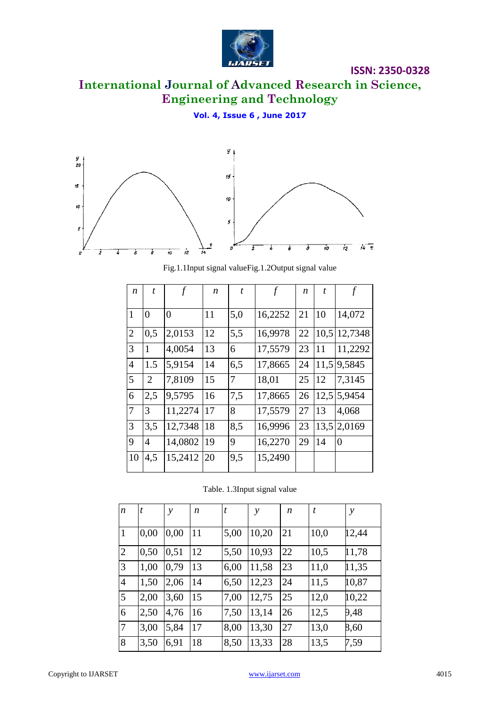

# **International Journal of Advanced Research in Science, Engineering and Technology**

## **Vol. 4, Issue 6 , June 2017**



Fig.1.1Input signal valueFig.1.2Output signal value

| $\boldsymbol{n}$ | t              | $\boldsymbol{f}$ | n  | t   | $\boldsymbol{f}$ | n  | t    |          |
|------------------|----------------|------------------|----|-----|------------------|----|------|----------|
| $\mathbf{1}$     | $\overline{0}$ | 0                | 11 | 5,0 | 16,2252          | 21 | 10   | 14,072   |
| $\overline{2}$   | 0,5            | 2,0153           | 12 | 5,5 | 16,9978          | 22 | 10,5 | 12,7348  |
| 3                | 1              | 4,0054           | 13 | 6   | 17,5579          | 23 | 11   | 11,2292  |
| $\overline{4}$   | 1.5            | 5,9154           | 14 | 6,5 | 17,8665          | 24 | 11,5 | 9,5845   |
| 5                | $\overline{2}$ | 7,8109           | 15 | 7   | 18,01            | 25 | 12   | 7,3145   |
| 6                | 2,5            | 9,5795           | 16 | 7,5 | 17,8665          | 26 | 12,5 | 5,9454   |
| 7                | 3              | 11,2274          | 17 | 8   | 17,5579          | 27 | 13   | 4,068    |
| 3                | 3,5            | 12,7348          | 18 | 8,5 | 16,9996          | 23 | 13,5 | 2,0169   |
| 9                | $\overline{4}$ | 14,0802          | 19 | 9   | 16,2270          | 29 | 14   | $\theta$ |
| 10               | 4,5            | 15,2412          | 20 | 9,5 | 15,2490          |    |      |          |

Table. 1.3Input signal value

| $\boldsymbol{n}$ | t    | $\mathcal{Y}$ | n  | t    | y     | n  | t    | $\mathcal{Y}$ |
|------------------|------|---------------|----|------|-------|----|------|---------------|
| $\mathbf{1}$     | 0,00 | 0,00          | 11 | 5,00 | 10,20 | 21 | 10,0 | 12,44         |
| $\overline{2}$   | 0,50 | 0,51          | 12 | 5,50 | 10,93 | 22 | 10,5 | 11,78         |
| 3                | 1,00 | 0,79          | 13 | 6,00 | 11,58 | 23 | 11,0 | 11,35         |
| $\overline{4}$   | 1,50 | 2,06          | 14 | 6,50 | 12,23 | 24 | 11,5 | 10,87         |
| 5                | 2,00 | 3,60          | 15 | 7,00 | 12,75 | 25 | 12,0 | 10,22         |
| 6                | 2,50 | 4,76          | 16 | 7,50 | 13,14 | 26 | 12,5 | 9,48          |
| 7                | 3,00 | 5,84          | 17 | 8,00 | 13,30 | 27 | 13,0 | 8,60          |
| 8                | 3,50 | 6,91          | 18 | 8,50 | 13,33 | 28 | 13,5 | 7,59          |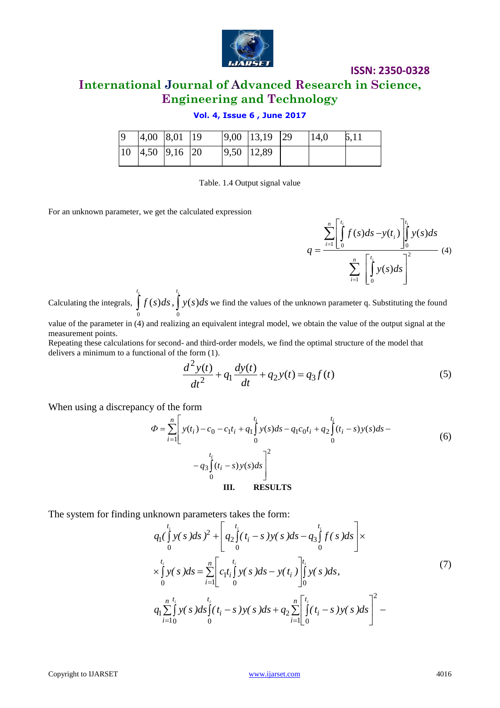

# **International Journal of Advanced Research in Science, Engineering and Technology**

## **Vol. 4, Issue 6 , June 2017**

|  | 4,00 8,01 19                                        |  | $ 9,00 $ 13,19 29 | 14,0 |  |
|--|-----------------------------------------------------|--|-------------------|------|--|
|  | $\begin{vmatrix} 10 & 4.50 & 9.16 \end{vmatrix}$ 20 |  | 9,50   12,89      |      |  |

Table. 1.4 Output signal value

For an unknown parameter, we get the calculated expression



Calculating the integrals,  $\int_{0}^{t_i}$  $f(s)$ *ds* 0  $(s)ds, \int_0^{t_i}$ *y s ds* 0  $(s)$ ds we find the values of the unknown parameter q. Substituting the found

value of the parameter in (4) and realizing an equivalent integral model, we obtain the value of the output signal at the measurement points.

Repeating these calculations for second- and third-order models, we find the optimal structure of the model that delivers a minimum to a functional of the form (1).

$$
\frac{d^2y(t)}{dt^2} + q_1\frac{dy(t)}{dt} + q_2y(t) = q_3f(t)
$$
\n(5)

When using a discrepancy of the form

$$
\Phi = \sum_{i=1}^{n} \left[ y(t_i) - c_0 - c_1 t_i + q_1 \int_0^{t_i} y(s) ds - q_1 c_0 t_i + q_2 \int_0^{t_i} (t_i - s) y(s) ds - q_1 c_0 t_i + q_2 \int_0^{t_i} (t_i - s) y(s) ds - q_1 c_0 t_i + q_2 \int_0^{t_i} (t_i - s) y(s) ds \right]
$$
\n
$$
- q_3 \int_0^{t_i} (t_i - s) y(s) ds
$$
\n
$$
= \prod_{i=1}^{n} \left[ \sum_{j=1}^{n} y(t_i - s) y(s) ds - q_1 c_0 t_i + q_2 \int_0^{t_i} (t_i - s) y(s) ds - q_1 c_0 t_i + q_2 \int_0^{t_i} (t_i - s) y(s) ds - q_1 c_0 t_i + q_2 \int_0^{t_i} (t_i - s) y(s) ds - q_1 c_0 t_i + q_2 \int_0^{t_i} (t_i - s) y(s) ds - q_1 c_0 t_i + q_2 \int_0^{t_i} (t_i - s) y(s) ds - q_1 c_0 t_i + q_2 \int_0^{t_i} (t_i - s) y(s) ds - q_1 c_0 t_i + q_2 \int_0^{t_i} (t_i - s) y(s) ds - q_1 c_0 t_i + q_2 \int_0^{t_i} (t_i - s) y(s) ds - q_1 c_0 t_i + q_2 \int_0^{t_i} (t_i - s) y(s) ds - q_1 c_0 t_i + q_2 \int_0^{t_i} (t_i - s) y(s) ds - q_1 c_0 t_i + q_2 \int_0^{t_i} (t_i - s) y(s) ds - q_1 c_0 t_i + q_2 \int_0^{t_i} (t_i - s) y(s) ds - q_1 c_0 t_i + q_2 \int_0^{t_i} (t_i - s) y(s) ds - q_1 c_0 t_i + q_2 \int_0^{t_i} (t_i - s) y(s) ds - q_1 c_0 t_i + q_2 \int_0^{t_i} (t_i - s) y(s) ds - q_1 c_0 t_i + q_2 \int_0^{t_i} (t_i - s) y(s) ds - q_1 c_0 t_i + q_2 \int_0^{t_i} (t_i - s) y(s) ds - q_1 c_0 t_i + q_2 \int_
$$

The system for finding unknown parameters takes the form:

$$
q_{1}(\int_{0}^{t_{i}} y(s)ds)^{2} + \left[q_{2}(\int_{0}^{t_{i}} (t_{i} - s) y(s)ds - q_{3}(\int_{0}^{t_{i}} f(s)ds)\right] \times
$$
  
\n
$$
\times \int_{0}^{t_{i}} y(s)ds = \sum_{i=1}^{n} \left[ c_{1}t_{i}(\int_{0}^{t_{i}} y(s)ds - y(t_{i}) \right]_{0}^{t_{i}} y(s)ds,
$$
  
\n
$$
q_{1} \sum_{i=1}^{n} \int_{0}^{t_{i}} y(s)ds \int_{0}^{t_{i}} (t_{i} - s) y(s)ds + q_{2} \sum_{i=1}^{n} \left[ \int_{0}^{t_{i}} (t_{i} - s) y(s)ds \right]^{2} -
$$
\n(7)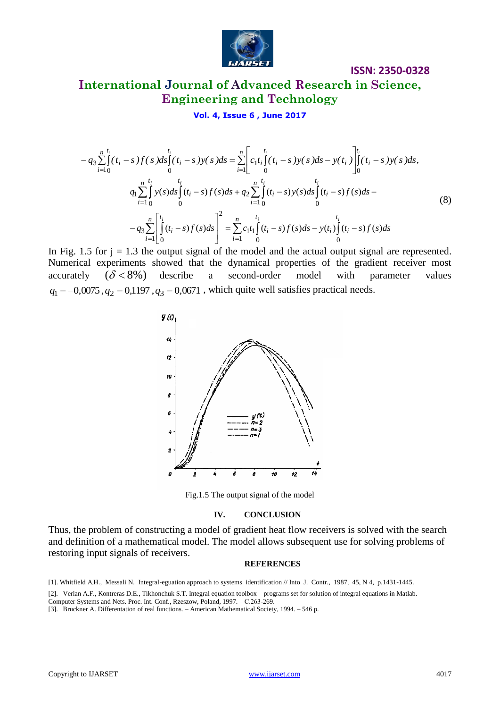

# **International Journal of Advanced Research in Science, Engineering and Technology**

## **Vol. 4, Issue 6 , June 2017**

$$
-q_{3}\sum_{i=1}^{n} \int_{0}^{t_{i}}(t_{i}-s) f(s)ds \int_{0}^{t_{i}}(t_{i}-s) y(s)ds = \sum_{i=1}^{n} \left[ c_{1}t_{i} \int_{0}^{t_{i}}(t_{i}-s) y(s)ds - y(t_{i}) \right]_{0}^{t_{i}}(t_{i}-s) y(s)ds,
$$
  

$$
q_{1}\sum_{i=1}^{n} \int_{0}^{t_{i}} y(s)ds \int_{0}^{t_{i}}(t_{i}-s) f(s)ds + q_{2}\sum_{i=1}^{n} \int_{0}^{t_{i}}(t_{i}-s) y(s)ds \int_{0}^{t_{i}}(t_{i}-s) f(s)ds - q_{3}\sum_{i=1}^{n} \left[ \int_{0}^{t_{i}}(t_{i}-s) f(s)ds \right]_{0}^{t_{i}} = \sum_{i=1}^{n} c_{1}t_{i} \int_{0}^{t_{i}}(t_{i}-s) f(s)ds - y(t_{i}) \int_{0}^{t_{i}}(t_{i}-s) f(s)ds
$$
(8)

In Fig. 1.5 for  $j = 1.3$  the output signal of the model and the actual output signal are represented. Numerical experiments showed that the dynamical properties of the gradient receiver most accurately  $(\delta < 8\%)$ describe a second-order model with parameter values  $q_1 = -0.0075$ ,  $q_2 = 0.1197$ ,  $q_3 = 0.0671$ , which quite well satisfies practical needs.



Fig.1.5 The output signal of the model

#### **IV. CONCLUSION**

Thus, the problem of constructing a model of gradient heat flow receivers is solved with the search and definition of a mathematical model. The model allows subsequent use for solving problems of restoring input signals of receivers.

#### **REFERENCES**

<sup>[1].</sup> Whitfield A.H., Messali N. Integral-eguation approach to systems identification // Into J. Contr., 1987. 45, N 4, p.1431-1445.

<sup>[2].</sup> Verlan A.F., Kontreras D.E., Tikhonchuk S.T. Integral equation toolbox – programs set for solution of integral equations in Matlab. –

Computer Systems and Nets. Proc. Int. Conf., Rzeszow, Poland, 1997. – С.263-269.

<sup>[3].</sup> Bruckner A. Differentation of real functions. – American Mathematical Society, 1994. – 546 p.